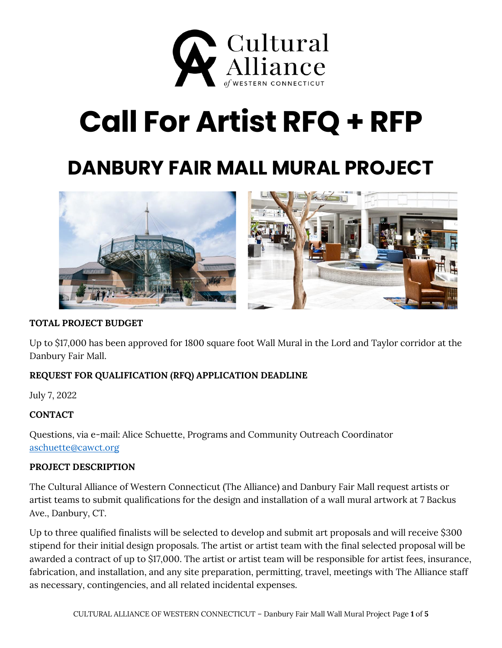

# **Call For Artist RFQ + RFP**

# **DANBURY FAIR MALL MURAL PROJECT**



### **TOTAL PROJECT BUDGET**

Up to \$17,000 has been approved for 1800 square foot Wall Mural in the Lord and Taylor corridor at the Danbury Fair Mall.

# **REQUEST FOR QUALIFICATION (RFQ) APPLICATION DEADLINE**

July 7, 2022

#### **CONTACT**

Questions, via e-mail: Alice Schuette, Programs and Community Outreach Coordinator [aschuette@cawct.org](mailto:aschuette@cawct.org)

#### **PROJECT DESCRIPTION**

The Cultural Alliance of Western Connecticut (The Alliance) and Danbury Fair Mall request artists or artist teams to submit qualifications for the design and installation of a wall mural artwork at 7 Backus Ave., Danbury, CT.

Up to three qualified finalists will be selected to develop and submit art proposals and will receive \$300 stipend for their initial design proposals. The artist or artist team with the final selected proposal will be awarded a contract of up to \$17,000. The artist or artist team will be responsible for artist fees, insurance, fabrication, and installation, and any site preparation, permitting, travel, meetings with The Alliance staff as necessary, contingencies, and all related incidental expenses.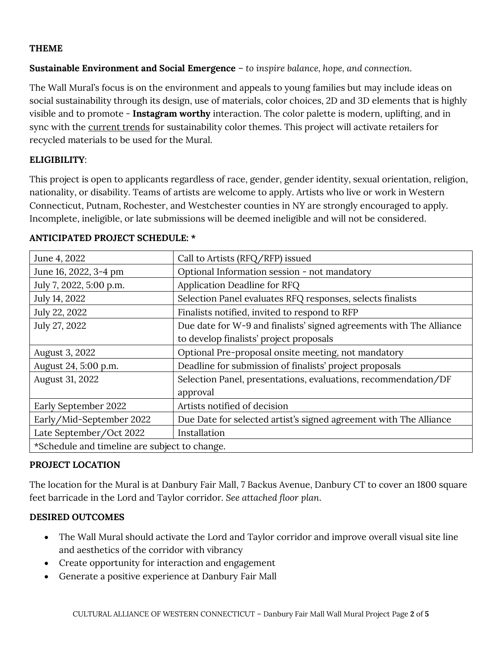#### **THEME**

#### **Sustainable Environment and Social Emergence** – *to inspire balance, hope, and connection.*

The Wall Mural's focus is on the environment and appeals to young families but may include ideas on social sustainability through its design, use of materials, color choices, 2D and 3D elements that is highly visible and to promote - **Instagram worthy** interaction. The color palette is modern, uplifting, and in sync with the current trends for sustainability color themes. This project will activate retailers for recycled materials to be used for the Mural.

#### **ELIGIBILITY**:

This project is open to applicants regardless of race, gender, gender identity, sexual orientation, religion, nationality, or disability. Teams of artists are welcome to apply. Artists who live or work in Western Connecticut, Putnam, Rochester, and Westchester counties in NY are strongly encouraged to apply. Incomplete, ineligible, or late submissions will be deemed ineligible and will not be considered.

| June 4, 2022                                  | Call to Artists (RFQ/RFP) issued                                    |
|-----------------------------------------------|---------------------------------------------------------------------|
| June 16, 2022, 3-4 pm                         | Optional Information session - not mandatory                        |
| July 7, 2022, 5:00 p.m.                       | Application Deadline for RFQ                                        |
| July 14, 2022                                 | Selection Panel evaluates RFQ responses, selects finalists          |
| July 22, 2022                                 | Finalists notified, invited to respond to RFP                       |
| July 27, 2022                                 | Due date for W-9 and finalists' signed agreements with The Alliance |
|                                               | to develop finalists' project proposals                             |
| August 3, 2022                                | Optional Pre-proposal onsite meeting, not mandatory                 |
| August 24, 5:00 p.m.                          | Deadline for submission of finalists' project proposals             |
| August 31, 2022                               | Selection Panel, presentations, evaluations, recommendation/DF      |
|                                               | approval                                                            |
| Early September 2022                          | Artists notified of decision                                        |
| Early/Mid-September 2022                      | Due Date for selected artist's signed agreement with The Alliance   |
| Late September/Oct 2022                       | Installation                                                        |
| *Schedule and timeline are subject to change. |                                                                     |

#### **ANTICIPATED PROJECT SCHEDULE: \***

#### **PROJECT LOCATION**

The location for the Mural is at Danbury Fair Mall, 7 Backus Avenue, Danbury CT to cover an 1800 square feet barricade in the Lord and Taylor corridor. *See attached floor plan*.

# **DESIRED OUTCOMES**

- The Wall Mural should activate the Lord and Taylor corridor and improve overall visual site line and aesthetics of the corridor with vibrancy
- Create opportunity for interaction and engagement
- Generate a positive experience at Danbury Fair Mall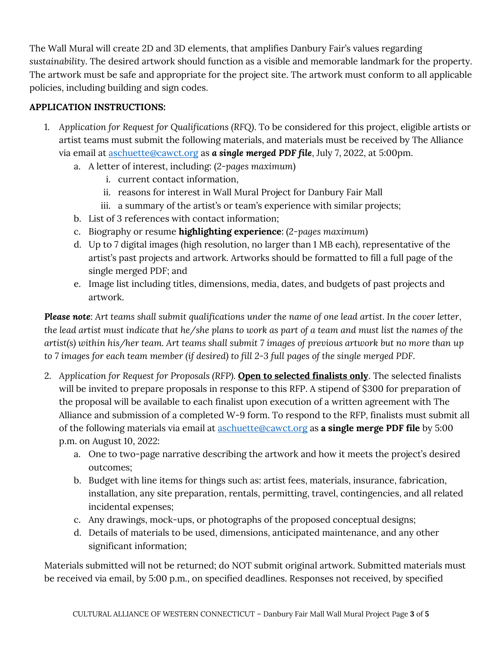The Wall Mural will create 2D and 3D elements, that amplifies Danbury Fair's values regarding *sustainability*. The desired artwork should function as a visible and memorable landmark for the property. The artwork must be safe and appropriate for the project site. The artwork must conform to all applicable policies, including building and sign codes.

# **APPLICATION INSTRUCTIONS:**

- 1. *Application for Request for Qualifications (RFQ)*. To be considered for this project, eligible artists or artist teams must submit the following materials, and materials must be received by The Alliance via email at [aschuette@cawct.org](mailto:aschuette@cawct.org) as *a single merged PDF file*, July 7, 2022, at 5:00pm.
	- a. A letter of interest, including: (*2-pages maximum*)
		- i. current contact information,
		- ii. reasons for interest in Wall Mural Project for Danbury Fair Mall
		- iii. a summary of the artist's or team's experience with similar projects;
	- b. List of 3 references with contact information;
	- c. Biography or resume **highlighting experience**: (*2-pages maximum*)
	- d. Up to 7 digital images (high resolution, no larger than 1 MB each), representative of the artist's past projects and artwork. Artworks should be formatted to fill a full page of the single merged PDF; and
	- e. Image list including titles, dimensions, media, dates, and budgets of past projects and artwork.

*Please note: Art teams shall submit qualifications under the name of one lead artist. In the cover letter, the lead artist must indicate that he/she plans to work as part of a team and must list the names of the artist(s) within his/her team. Art teams shall submit 7 images of previous artwork but no more than up to 7 images for each team member (if desired) to fill 2-3 full pages of the single merged PDF.*

- 2. *Application for Request for Proposals (RFP)*. **Open to selected finalists only**. The selected finalists will be invited to prepare proposals in response to this RFP. A stipend of \$300 for preparation of the proposal will be available to each finalist upon execution of a written agreement with The Alliance and submission of a completed W-9 form. To respond to the RFP, finalists must submit all of the following materials via email at [aschuette@cawct.org](mailto:aschuette@cawct.org) as **a single merge PDF file** by 5:00 p.m. on August 10, 2022:
	- a. One to two-page narrative describing the artwork and how it meets the project's desired outcomes;
	- b. Budget with line items for things such as: artist fees, materials, insurance, fabrication, installation, any site preparation, rentals, permitting, travel, contingencies, and all related incidental expenses;
	- c. Any drawings, mock-ups, or photographs of the proposed conceptual designs;
	- d. Details of materials to be used, dimensions, anticipated maintenance, and any other significant information;

Materials submitted will not be returned; do NOT submit original artwork. Submitted materials must be received via email, by 5:00 p.m., on specified deadlines. Responses not received, by specified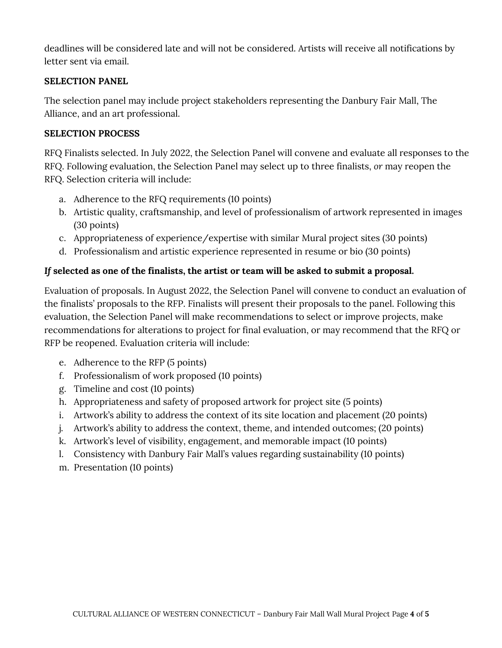deadlines will be considered late and will not be considered. Artists will receive all notifications by letter sent via email.

#### **SELECTION PANEL**

The selection panel may include project stakeholders representing the Danbury Fair Mall, The Alliance, and an art professional.

#### **SELECTION PROCESS**

RFQ Finalists selected. In July 2022, the Selection Panel will convene and evaluate all responses to the RFQ. Following evaluation, the Selection Panel may select up to three finalists, *or* may reopen the RFQ. Selection criteria will include:

- a. Adherence to the RFQ requirements (10 points)
- b. Artistic quality, craftsmanship, and level of professionalism of artwork represented in images (30 points)
- c. Appropriateness of experience/expertise with similar Mural project sites (30 points)
- d. Professionalism and artistic experience represented in resume or bio (30 points)

# *If* **selected as one of the finalists, the artist or team will be asked to submit a proposal.**

Evaluation of proposals. In August 2022, the Selection Panel will convene to conduct an evaluation of the finalists' proposals to the RFP. Finalists will present their proposals to the panel. Following this evaluation, the Selection Panel will make recommendations to select or improve projects, make recommendations for alterations to project for final evaluation, or may recommend that the RFQ or RFP be reopened. Evaluation criteria will include:

- e. Adherence to the RFP (5 points)
- f. Professionalism of work proposed (10 points)
- g. Timeline and cost (10 points)
- h. Appropriateness and safety of proposed artwork for project site (5 points)
- i. Artwork's ability to address the context of its site location and placement (20 points)
- j. Artwork's ability to address the context, theme, and intended outcomes; (20 points)
- k. Artwork's level of visibility, engagement, and memorable impact (10 points)
- l. Consistency with Danbury Fair Mall's values regarding sustainability (10 points)
- m. Presentation (10 points)